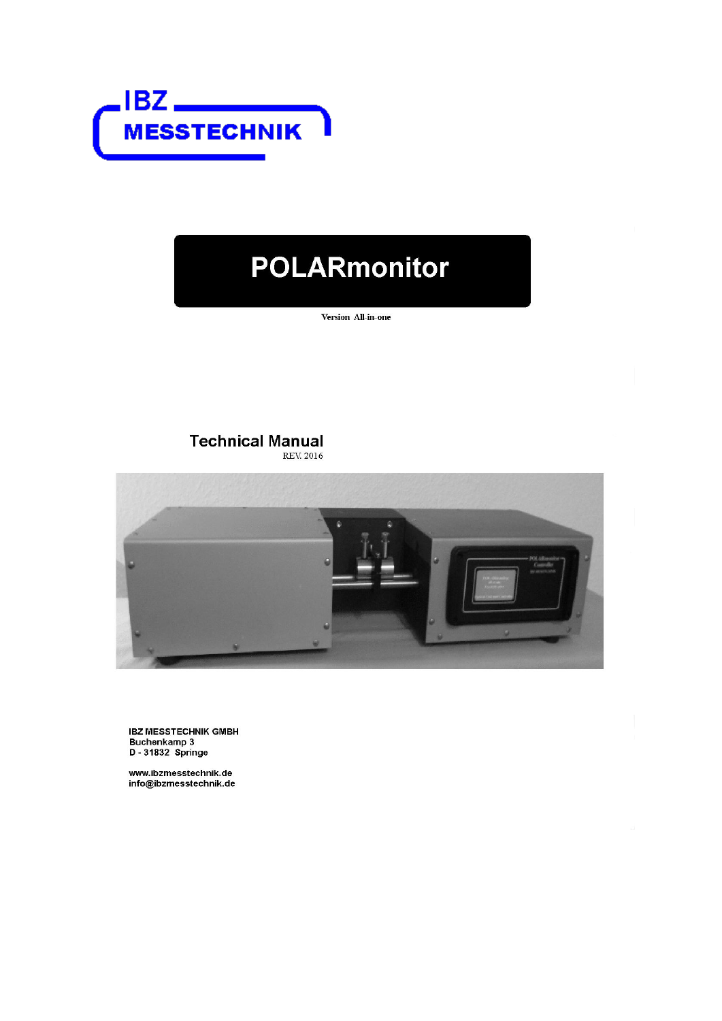

# **POLARmonitor**

Version All-in-one

#### **Technical Manual REV. 2016**



**IBZ MESSTECHNIK GMBH** Buchenkamp 3 D - 31832 Springe

www.ibzmesstechnik.de info@ibzmesstechnik.de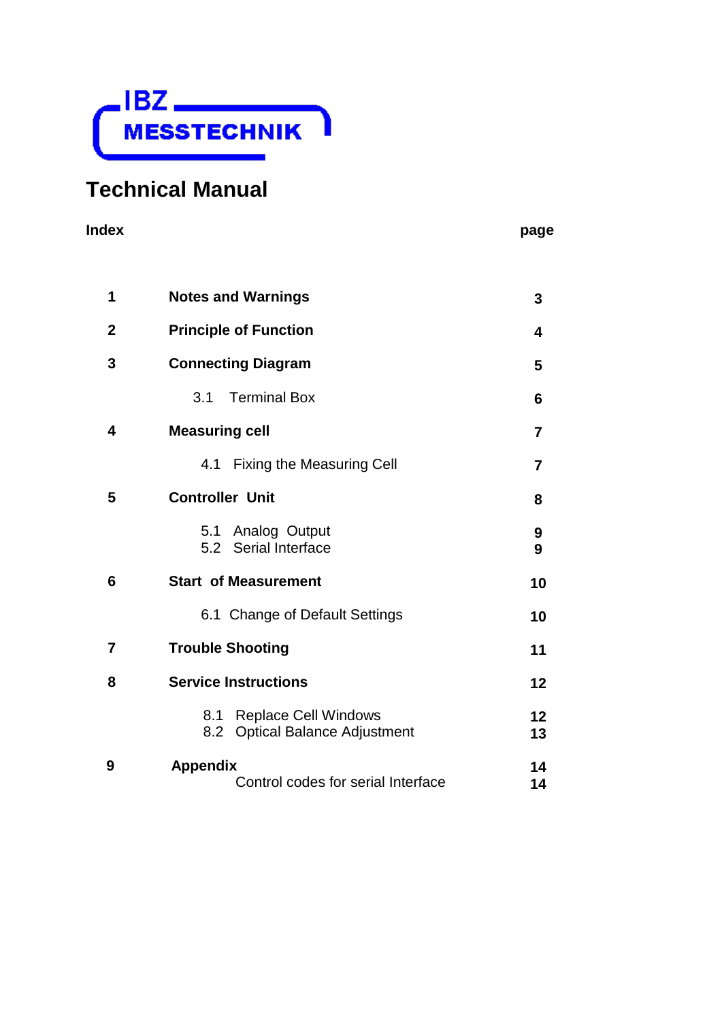

# **Technical Manual**

#### **Index page**

| 1                           | <b>Notes and Warnings</b><br>3                                                 |                         |  |
|-----------------------------|--------------------------------------------------------------------------------|-------------------------|--|
| $\mathbf 2$                 | <b>Principle of Function</b><br>4                                              |                         |  |
| 3                           | <b>Connecting Diagram</b><br>5                                                 |                         |  |
|                             | <b>Terminal Box</b><br>3.1                                                     | 6                       |  |
| 4                           | <b>Measuring cell</b>                                                          | 7                       |  |
|                             | <b>Fixing the Measuring Cell</b><br>4.1                                        | 7                       |  |
| <b>Controller Unit</b><br>5 |                                                                                | 8                       |  |
|                             | Analog Output<br>5.1<br>5.2 Serial Interface                                   | 9<br>9                  |  |
| 6                           | <b>Start of Measurement</b>                                                    | 10                      |  |
|                             | 6.1 Change of Default Settings                                                 | 10                      |  |
| 7                           | <b>Trouble Shooting</b>                                                        | 11                      |  |
| 8                           | <b>Service Instructions</b><br>12                                              |                         |  |
|                             | <b>Replace Cell Windows</b><br>8.1<br><b>Optical Balance Adjustment</b><br>8.2 | $12 \overline{ }$<br>13 |  |
| 9                           | <b>Appendix</b><br>Control codes for serial Interface                          | 14<br>14                |  |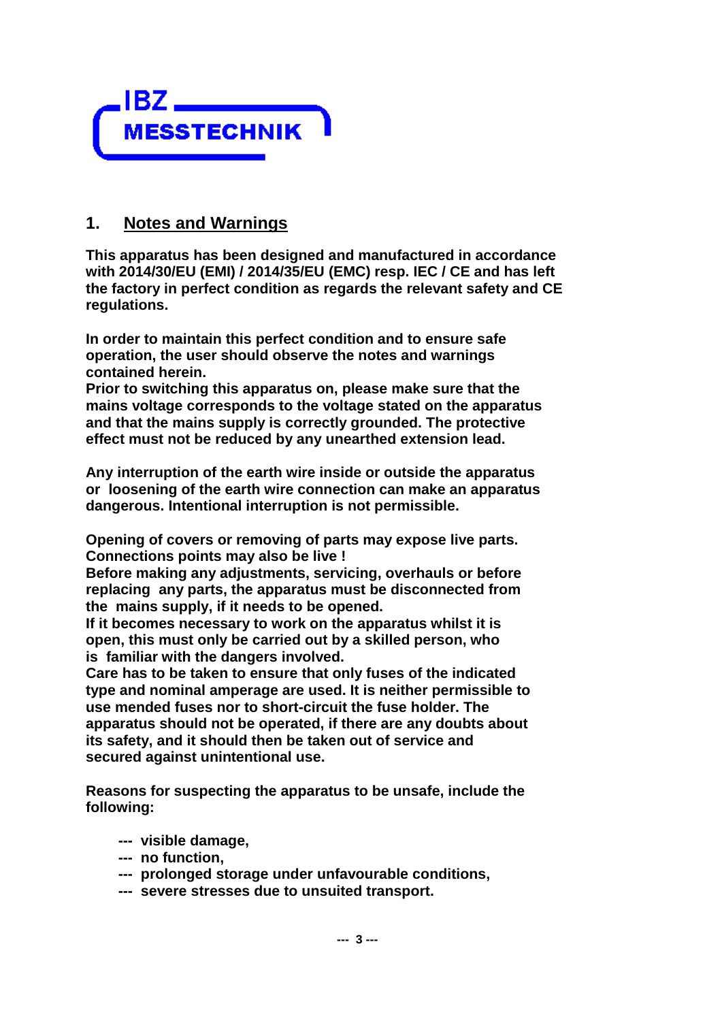

## **1. Notes and Warnings**

**This apparatus has been designed and manufactured in accordance with 2014/30/EU (EMI) / 2014/35/EU (EMC) resp. IEC / CE and has left the factory in perfect condition as regards the relevant safety and CE regulations.**

**In order to maintain this perfect condition and to ensure safe operation, the user should observe the notes and warnings contained herein.**

**Prior to switching this apparatus on, please make sure that the mains voltage corresponds to the voltage stated on the apparatus and that the mains supply is correctly grounded. The protective effect must not be reduced by any unearthed extension lead.**

**Any interruption of the earth wire inside or outside the apparatus or loosening of the earth wire connection can make an apparatus dangerous. Intentional interruption is not permissible.**

**Opening of covers or removing of parts may expose live parts. Connections points may also be live !**

**Before making any adjustments, servicing, overhauls or before replacing any parts, the apparatus must be disconnected from the mains supply, if it needs to be opened.**

**If it becomes necessary to work on the apparatus whilst it is open, this must only be carried out by a skilled person, who is familiar with the dangers involved.**

**Care has to be taken to ensure that only fuses of the indicated type and nominal amperage are used. It is neither permissible to use mended fuses nor to short-circuit the fuse holder. The apparatus should not be operated, if there are any doubts about its safety, and it should then be taken out of service and secured against unintentional use.**

**Reasons for suspecting the apparatus to be unsafe, include the following:**

- **--- visible damage,**
- **--- no function,**
- **--- prolonged storage under unfavourable conditions,**
- **--- severe stresses due to unsuited transport.**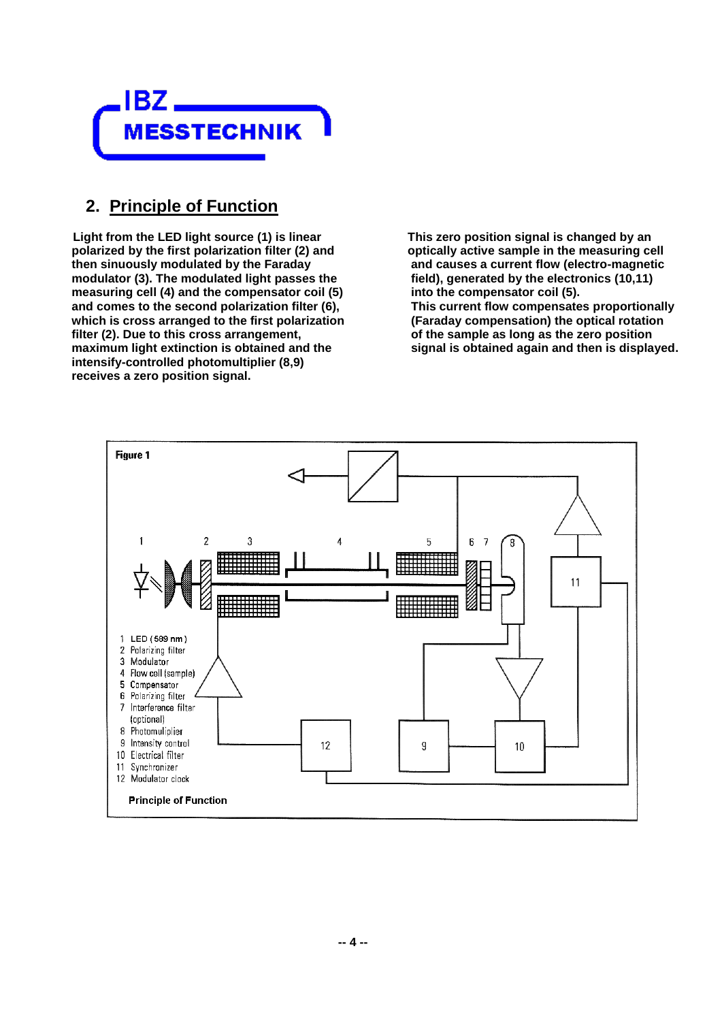

# **2. Principle of Function**

 **Light from the LED light source (1) is linear polarized by the first polarization filter (2) and then sinuously modulated by the Faraday modulator (3). The modulated light passes the measuring cell (4) and the compensator coil (5) and comes to the second polarization filter (6), which is cross arranged to the first polarization filter (2). Due to this cross arrangement, maximum light extinction is obtained and the intensify-controlled photomultiplier (8,9) receives a zero position signal.**

 **This zero position signal is changed by an optically active sample in the measuring cell and causes a current flow (electro-magnetic field), generated by the electronics (10,11) into the compensator coil (5). This current flow compensates proportionally (Faraday compensation) the optical rotation of the sample as long as the zero position signal is obtained again and then is displayed.**

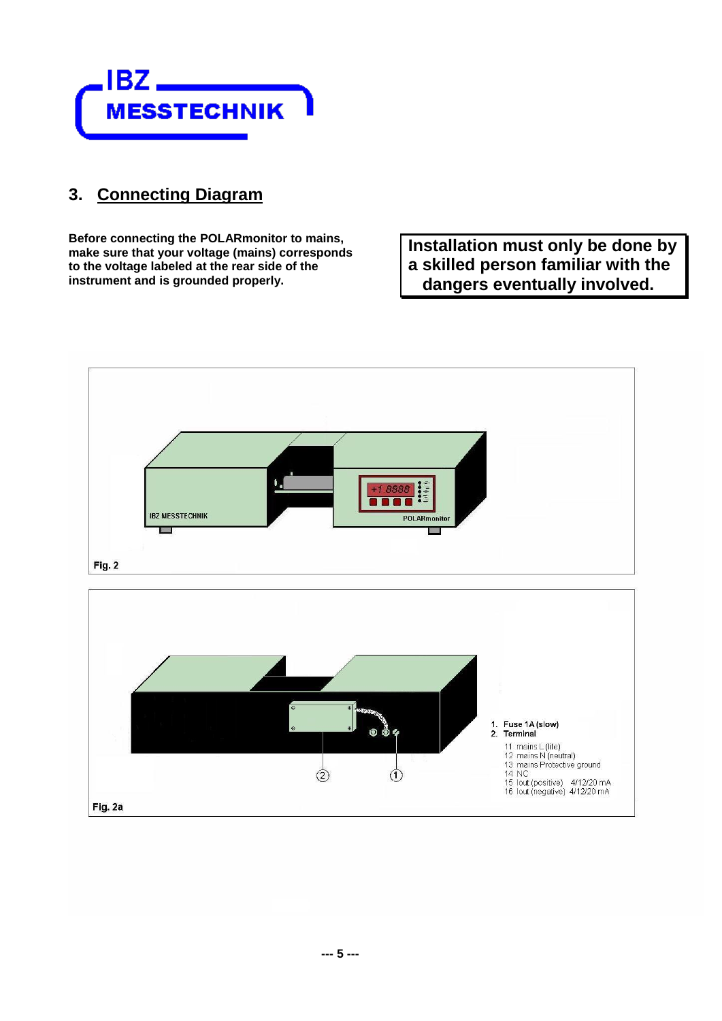

# **3. Connecting Diagram**

**Before connecting the POLARmonitor to mains, make sure that your voltage (mains) corresponds to the voltage labeled at the rear side of the instrument and is grounded properly.**

**Installation must only be done by a skilled person familiar with the dangers eventually involved.** 

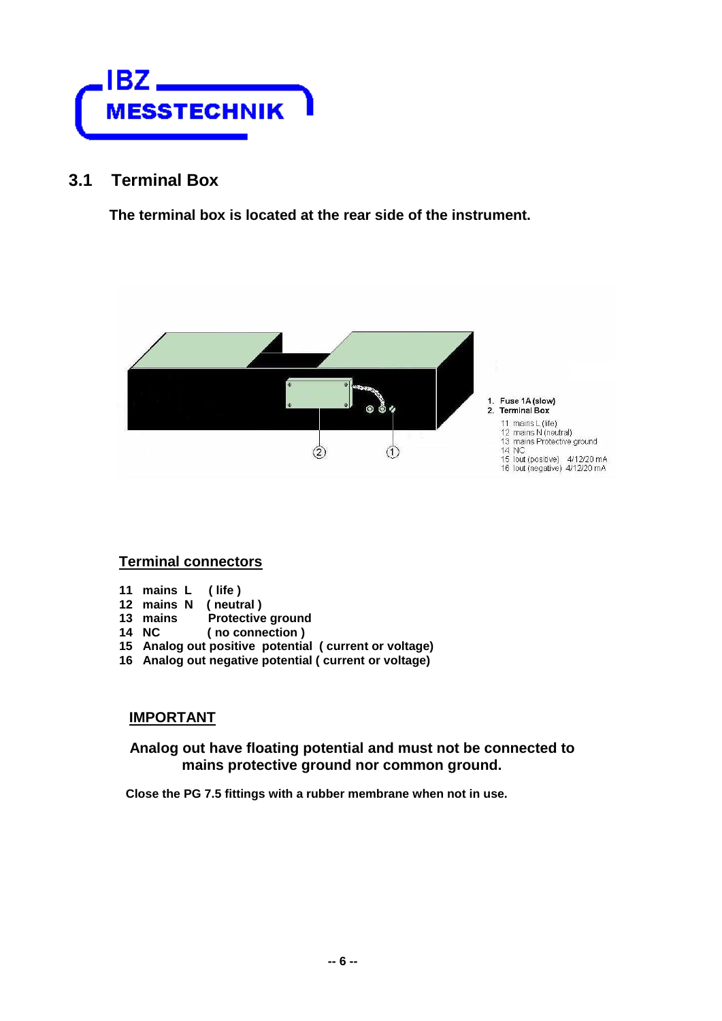

## **3.1 Terminal Box**

 **The terminal box is located at the rear side of the instrument.**



#### **Terminal connectors**

- **11 mains L ( life )**
- **12 mains N ( neutral )**
- 13 mains Protective ground<br>14 NC (no connection)
- **14 NC ( no connection )**
- **15 Analog out positive potential ( current or voltage)**
- **16 Analog out negative potential ( current or voltage)**

#### **IMPORTANT**

#### **Analog out have floating potential and must not be connected to mains protective ground nor common ground.**

 **Close the PG 7.5 fittings with a rubber membrane when not in use.**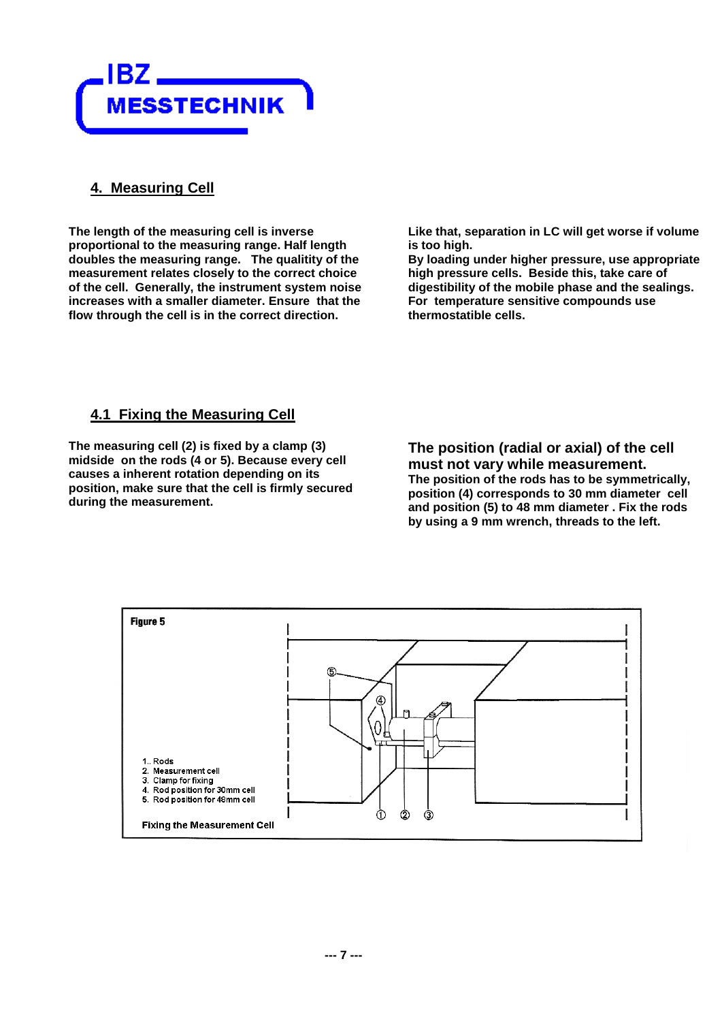

#### **4. Measuring Cell**

**The length of the measuring cell is inverse proportional to the measuring range. Half length doubles the measuring range. The qualitity of the measurement relates closely to the correct choice of the cell. Generally, the instrument system noise increases with a smaller diameter. Ensure that the flow through the cell is in the correct direction.**

**Like that, separation in LC will get worse if volume is too high.** 

**By loading under higher pressure, use appropriate high pressure cells. Beside this, take care of digestibility of the mobile phase and the sealings. For temperature sensitive compounds use thermostatible cells.**

#### **4.1 Fixing the Measuring Cell**

**The measuring cell (2) is fixed by a clamp (3) midside on the rods (4 or 5). Because every cell causes a inherent rotation depending on its position, make sure that the cell is firmly secured during the measurement.** 

**The position (radial or axial) of the cell must not vary while measurement. The position of the rods has to be symmetrically, position (4) corresponds to 30 mm diameter cell and position (5) to 48 mm diameter . Fix the rods by using a 9 mm wrench, threads to the left.**

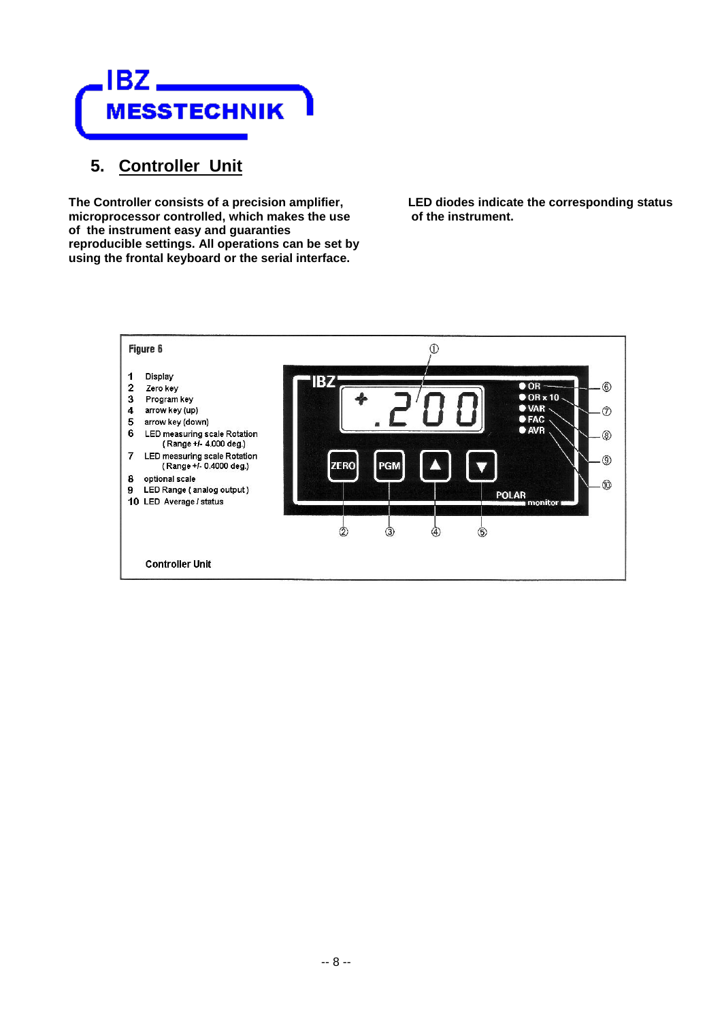

## **5. Controller Unit**

**The Controller consists of a precision amplifier, microprocessor controlled, which makes the use of the instrument easy and guaranties reproducible settings. All operations can be set by using the frontal keyboard or the serial interface.** 

**LED diodes indicate the corresponding status of the instrument.** 

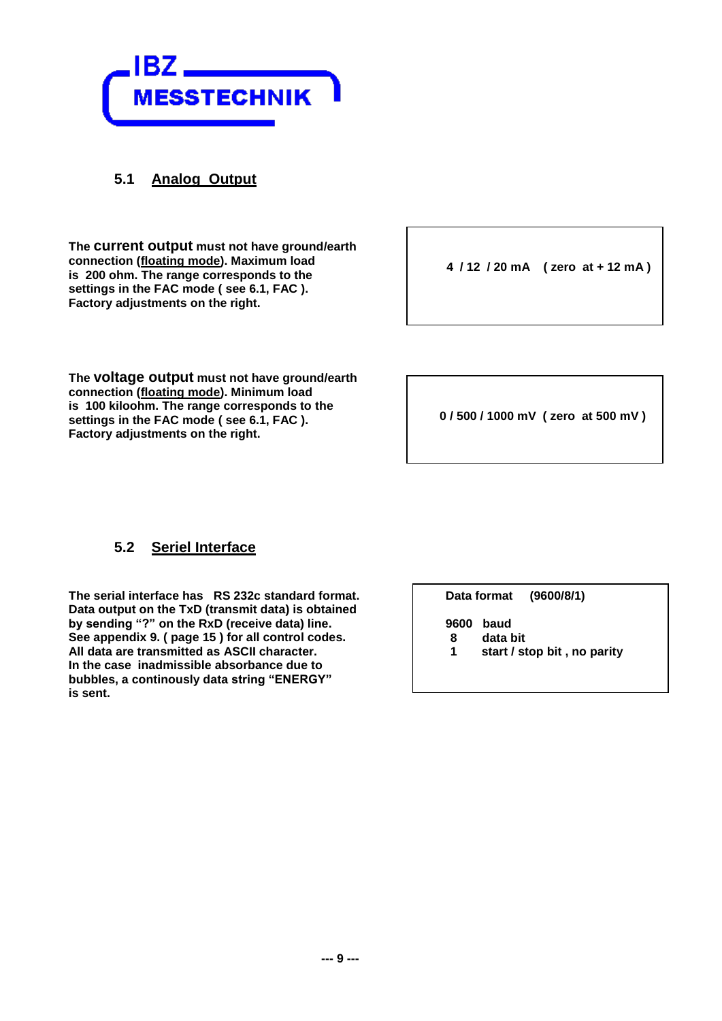

#### **5.1 Analog Output**

**The current output must not have ground/earth connection (floating mode). Maximum load is 200 ohm. The range corresponds to the settings in the FAC mode ( see 6.1, FAC ). Factory adjustments on the right.** 

**The voltage output must not have ground/earth connection (floating mode). Minimum load is 100 kiloohm. The range corresponds to the settings in the FAC mode ( see 6.1, FAC ). Factory adjustments on the right.**

**0 ... + 20 mA ( Nullage bei + 10 mA ) 4 / 12 / 20 mA ( zero at + 12 mA )**

 **0 / 500 / 1000 mV ( zero at 500 mV )**

#### **5.2 Seriel Interface**

**The serial interface has RS 232c standard format. Data output on the TxD (transmit data) is obtained by sending "?" on the RxD (receive data) line. See appendix 9. ( page 15 ) for all control codes. All data are transmitted as ASCII character. In the case inadmissible absorbance due to bubbles, a continously data string "ENERGY" is sent.** 

 **Data format (9600/8/1)**

- **9600 baud**
- **8 data bit**
- **1 start / stop bit , no parity**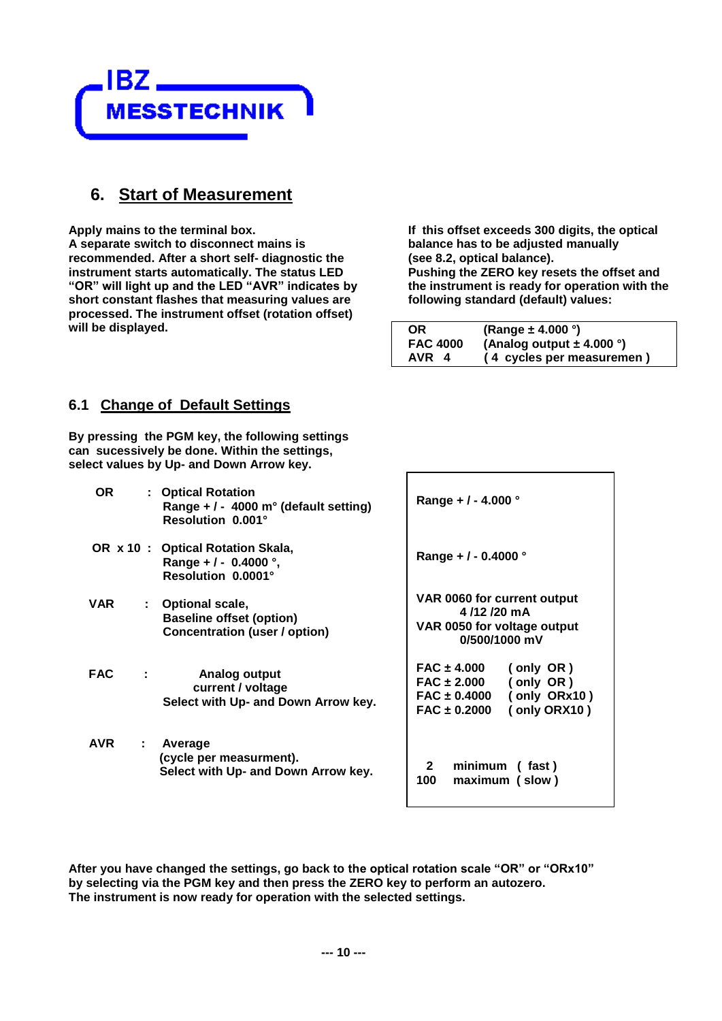

### **6. Start of Measurement**

**Apply mains to the terminal box. A separate switch to disconnect mains is recommended. After a short self- diagnostic the instrument starts automatically. The status LED "OR" will light up and the LED "AVR" indicates by short constant flashes that measuring values are processed. The instrument offset (rotation offset) will be displayed.** 

**If this offset exceeds 300 digits, the optical balance has to be adjusted manually (see 8.2, optical balance). Pushing the ZERO key resets the offset and**

**the instrument is ready for operation with the following standard (default) values:** 

| OR.             | (Range $\pm$ 4.000 °)         |
|-----------------|-------------------------------|
| <b>FAC 4000</b> | (Analog output $\pm$ 4.000 °) |
| AVR 4           | (4 cycles per measuremen)     |

#### **6.1 Change of Default Settings**

**By pressing the PGM key, the following settings can sucessively be done. Within the settings, select values by Up- and Down Arrow key.**

| OR          | : Optical Rotation<br>Range $+/-$ 4000 m $^{\circ}$ (default setting)<br>Resolution 0.001°   | Range + $/$ - 4.000 $^{\circ}$                                                                                                                      |
|-------------|----------------------------------------------------------------------------------------------|-----------------------------------------------------------------------------------------------------------------------------------------------------|
|             | OR x 10: Optical Rotation Skala,<br>Range + $/$ - 0.4000 °,<br>Resolution 0.0001°            | Range + $/$ - 0.4000 $^{\circ}$                                                                                                                     |
| VAR         | : Optional scale,<br><b>Baseline offset (option)</b><br><b>Concentration (user / option)</b> | VAR 0060 for current output<br>4/12/20 mA<br>VAR 0050 for voltage output<br>0/500/1000 mV                                                           |
| FAC :       | Analog output<br>current / voltage<br>Select with Up- and Down Arrow key.                    | $\mathsf{FAC} \pm 4.000$<br>(only OR)<br>$FAC \pm 2.000$<br>(only OR)<br>$FAC \pm 0.4000$ (only ORx10)<br>(only ORX10)<br>$\mathsf{FAC} \pm 0.2000$ |
| AVR<br>t in | Average<br>(cycle per measurment).<br>Select with Up- and Down Arrow key.                    | $\mathbf{2}$<br>minimum (fast)<br>100<br>maximum (slow)                                                                                             |

**After you have changed the settings, go back to the optical rotation scale "OR" or "ORx10" by selecting via the PGM key and then press the ZERO key to perform an autozero. The instrument is now ready for operation with the selected settings.**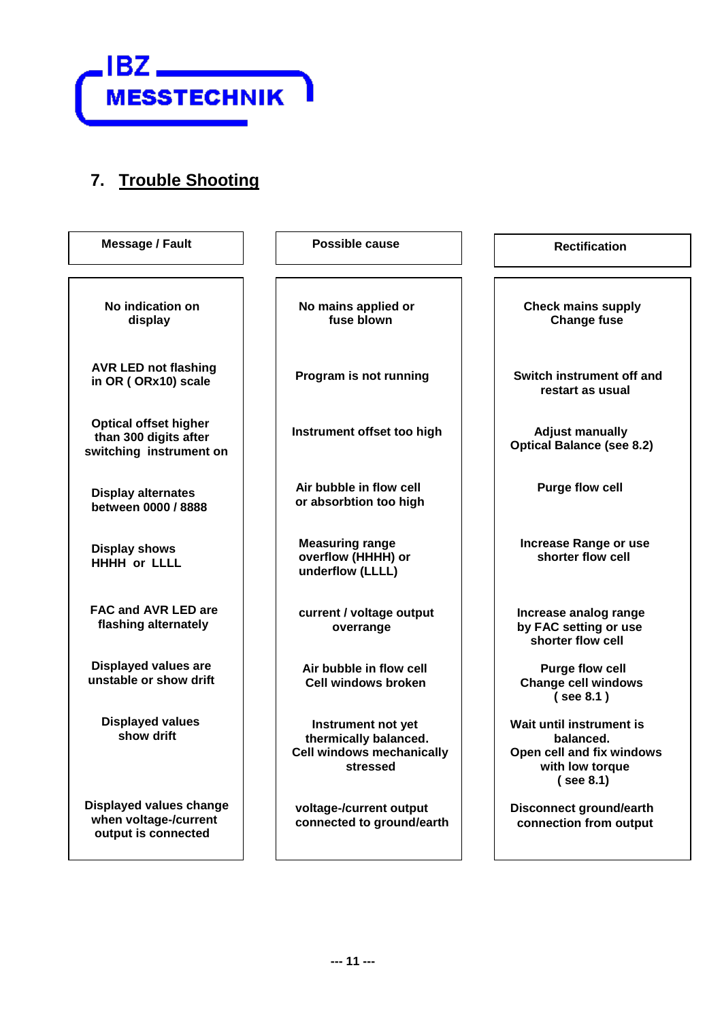

# **7. Trouble Shooting**

| Message / Fault                                                                  | Possible cause                                                                              | <b>Rectification</b>                                                                                     |
|----------------------------------------------------------------------------------|---------------------------------------------------------------------------------------------|----------------------------------------------------------------------------------------------------------|
| No indication on<br>display                                                      | No mains applied or<br>fuse blown                                                           | <b>Check mains supply</b><br><b>Change fuse</b>                                                          |
| <b>AVR LED not flashing</b><br>in OR (ORx10) scale                               | Program is not running                                                                      | Switch instrument off and<br>restart as usual                                                            |
| <b>Optical offset higher</b><br>than 300 digits after<br>switching instrument on | Instrument offset too high                                                                  | <b>Adjust manually</b><br><b>Optical Balance (see 8.2)</b>                                               |
| <b>Display alternates</b><br>between 0000 / 8888                                 | Air bubble in flow cell<br>or absorbtion too high                                           | <b>Purge flow cell</b>                                                                                   |
| <b>Display shows</b><br><b>HHHH or LLLL</b>                                      | <b>Measuring range</b><br>overflow (HHHH) or<br>underflow (LLLL)                            | <b>Increase Range or use</b><br>shorter flow cell                                                        |
| <b>FAC and AVR LED are</b><br>flashing alternately                               | current / voltage output<br>overrange                                                       | Increase analog range<br>by FAC setting or use<br>shorter flow cell                                      |
| <b>Displayed values are</b><br>unstable or show drift                            | Air bubble in flow cell<br>Cell windows broken                                              | Purge flow cell<br><b>Change cell windows</b><br>$($ see 8.1)                                            |
| <b>Displayed values</b><br>show drift                                            | Instrument not yet<br>thermically balanced.<br><b>Cell windows mechanically</b><br>stressed | Wait until instrument is<br>balanced.<br>Open cell and fix windows<br>with low torque<br>$($ see 8.1 $)$ |
| Displayed values change<br>when voltage-/current<br>output is connected          | voltage-/current output<br>connected to ground/earth                                        | <b>Disconnect ground/earth</b><br>connection from output                                                 |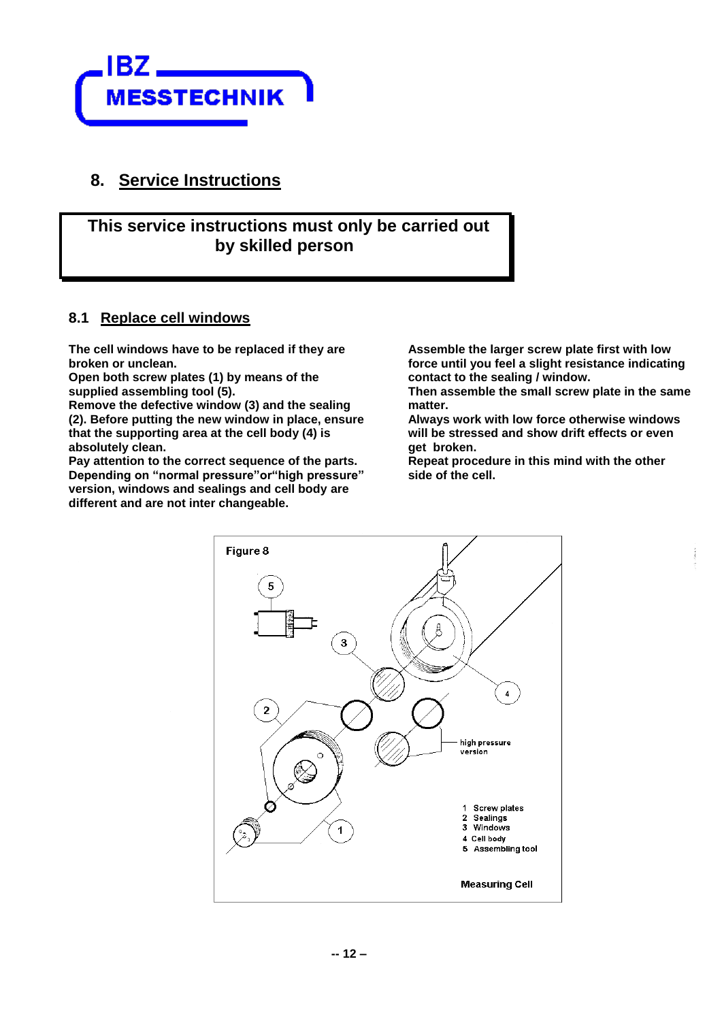

# **8. Service Instructions**

# **This service instructions must only be carried out by skilled person**

#### **8.1 Replace cell windows**

**The cell windows have to be replaced if they are broken or unclean.**

**Open both screw plates (1) by means of the supplied assembling tool (5).**

**Remove the defective window (3) and the sealing (2). Before putting the new window in place, ensure that the supporting area at the cell body (4) is absolutely clean.**

**Pay attention to the correct sequence of the parts. Depending on "normal pressure"or"high pressure" version, windows and sealings and cell body are different and are not inter changeable.**

**Assemble the larger screw plate first with low force until you feel a slight resistance indicating contact to the sealing / window.**

**Then assemble the small screw plate in the same matter.** 

**Always work with low force otherwise windows will be stressed and show drift effects or even get broken.** 

**Repeat procedure in this mind with the other side of the cell.**

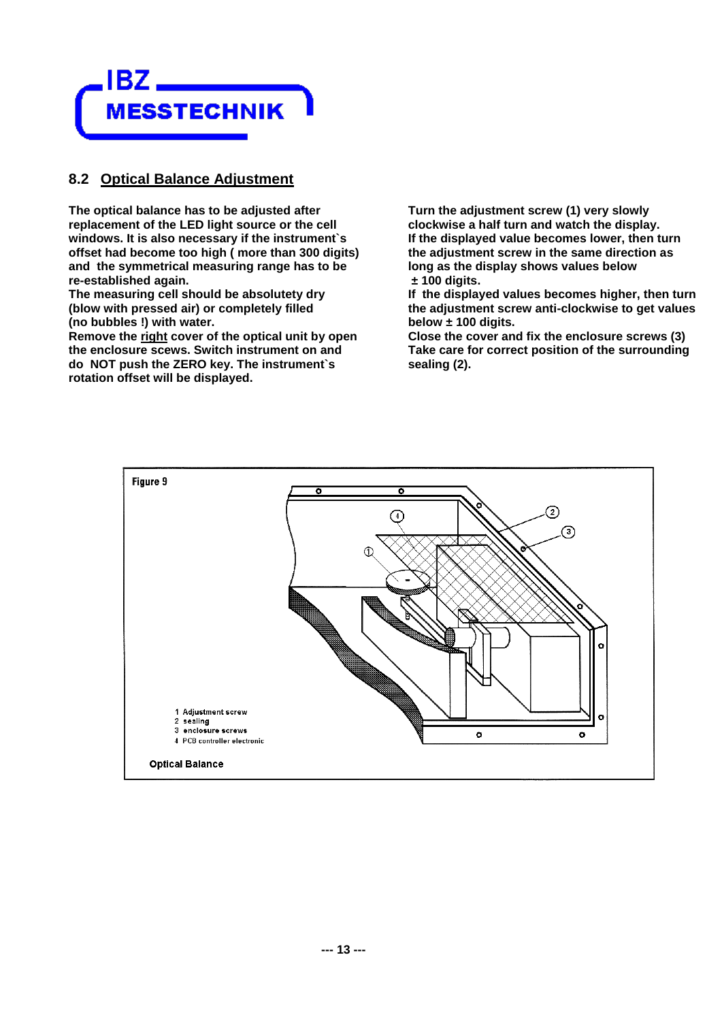

#### **8.2 Optical Balance Adjustment**

**The optical balance has to be adjusted after replacement of the LED light source or the cell windows. It is also necessary if the instrument`s offset had become too high ( more than 300 digits) and the symmetrical measuring range has to be re-established again.**

**The measuring cell should be absolutety dry (blow with pressed air) or completely filled (no bubbles !) with water.**

**Remove the right cover of the optical unit by open the enclosure scews. Switch instrument on and do NOT push the ZERO key. The instrument`s rotation offset will be displayed.**

**Turn the adjustment screw (1) very slowly clockwise a half turn and watch the display. If the displayed value becomes lower, then turn the adjustment screw in the same direction as long as the display shows values below ± 100 digits.**

**If the displayed values becomes higher, then turn the adjustment screw anti-clockwise to get values below ± 100 digits.**

**Close the cover and fix the enclosure screws (3) Take care for correct position of the surrounding sealing (2).**